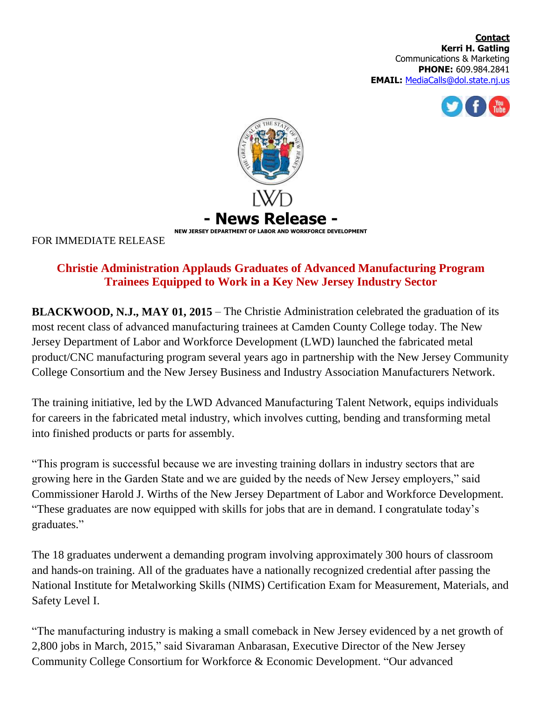**Contact Kerri H. Gatling** Communications & Marketing **PHONE:** 609.984.2841 **EMAIL:** [MediaCalls@dol.state.nj.us](mailto:MediaCalls@dol.state.nj.us)





FOR IMMEDIATE RELEASE

## **Christie Administration Applauds Graduates of Advanced Manufacturing Program Trainees Equipped to Work in a Key New Jersey Industry Sector**

**BLACKWOOD, N.J., MAY 01, 2015** – The Christie Administration celebrated the graduation of its most recent class of advanced manufacturing trainees at Camden County College today. The New Jersey Department of Labor and Workforce Development (LWD) launched the fabricated metal product/CNC manufacturing program several years ago in partnership with the New Jersey Community College Consortium and the New Jersey Business and Industry Association Manufacturers Network.

The training initiative, led by the LWD Advanced Manufacturing Talent Network, equips individuals for careers in the fabricated metal industry, which involves cutting, bending and transforming metal into finished products or parts for assembly.

"This program is successful because we are investing training dollars in industry sectors that are growing here in the Garden State and we are guided by the needs of New Jersey employers," said Commissioner Harold J. Wirths of the New Jersey Department of Labor and Workforce Development. "These graduates are now equipped with skills for jobs that are in demand. I congratulate today's graduates."

The 18 graduates underwent a demanding program involving approximately 300 hours of classroom and hands-on training. All of the graduates have a nationally recognized credential after passing the National Institute for Metalworking Skills (NIMS) Certification Exam for Measurement, Materials, and Safety Level I.

"The manufacturing industry is making a small comeback in New Jersey evidenced by a net growth of 2,800 jobs in March, 2015," said Sivaraman Anbarasan, Executive Director of the New Jersey Community College Consortium for Workforce & Economic Development. "Our advanced